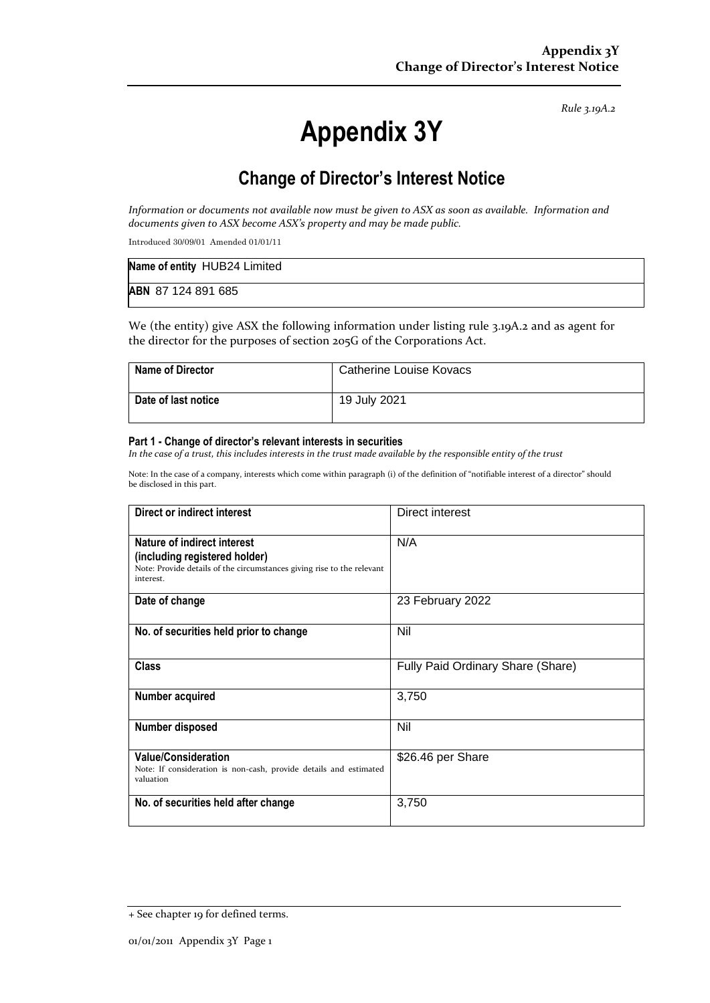*Rule 3.19A.2*

# **Appendix 3Y**

# **Change of Director's Interest Notice**

*Information or documents not available now must be given to ASX as soon as available. Information and documents given to ASX become ASX's property and may be made public.*

Introduced 30/09/01 Amended 01/01/11

| Name of entity HUB24 Limited |  |
|------------------------------|--|
| ABN 87 124 891 685           |  |

We (the entity) give ASX the following information under listing rule 3.19A.2 and as agent for the director for the purposes of section 205G of the Corporations Act.

| <b>Name of Director</b> | Catherine Louise Kovacs |
|-------------------------|-------------------------|
| Date of last notice     | 19 July 2021            |

#### **Part 1 - Change of director's relevant interests in securities**

*In the case of a trust, this includes interests in the trust made available by the responsible entity of the trust*

Note: In the case of a company, interests which come within paragraph (i) of the definition of "notifiable interest of a director" should be disclosed in this part.

| Direct or indirect interest                                                                                                                         | Direct interest                   |
|-----------------------------------------------------------------------------------------------------------------------------------------------------|-----------------------------------|
| Nature of indirect interest<br>(including registered holder)<br>Note: Provide details of the circumstances giving rise to the relevant<br>interest. | N/A                               |
| Date of change                                                                                                                                      | 23 February 2022                  |
| No. of securities held prior to change                                                                                                              | Nil                               |
| <b>Class</b>                                                                                                                                        | Fully Paid Ordinary Share (Share) |
| Number acquired                                                                                                                                     | 3,750                             |
| Number disposed                                                                                                                                     | Nil                               |
| <b>Value/Consideration</b><br>Note: If consideration is non-cash, provide details and estimated<br>valuation                                        | \$26.46 per Share                 |
| No. of securities held after change                                                                                                                 | 3,750                             |

<sup>+</sup> See chapter 19 for defined terms.